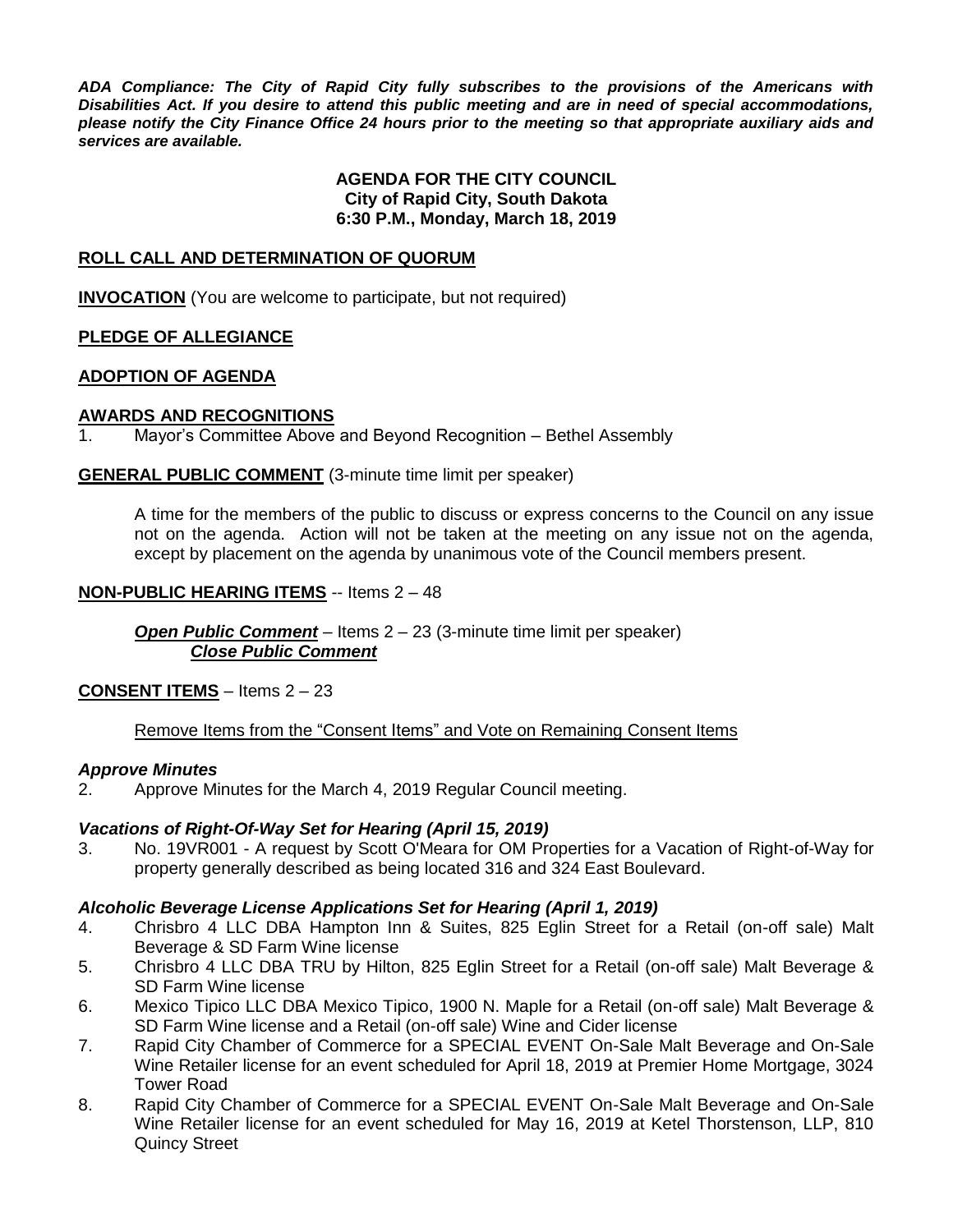*ADA Compliance: The City of Rapid City fully subscribes to the provisions of the Americans with Disabilities Act. If you desire to attend this public meeting and are in need of special accommodations, please notify the City Finance Office 24 hours prior to the meeting so that appropriate auxiliary aids and services are available.*

#### **AGENDA FOR THE CITY COUNCIL City of Rapid City, South Dakota 6:30 P.M., Monday, March 18, 2019**

#### **ROLL CALL AND DETERMINATION OF QUORUM**

**INVOCATION** (You are welcome to participate, but not required)

#### **PLEDGE OF ALLEGIANCE**

#### **ADOPTION OF AGENDA**

#### **AWARDS AND RECOGNITIONS**

1. Mayor's Committee Above and Beyond Recognition – Bethel Assembly

**GENERAL PUBLIC COMMENT** (3-minute time limit per speaker)

A time for the members of the public to discuss or express concerns to the Council on any issue not on the agenda. Action will not be taken at the meeting on any issue not on the agenda, except by placement on the agenda by unanimous vote of the Council members present.

#### **NON-PUBLIC HEARING ITEMS** -- Items 2 – 48

*Open Public Comment* – Items 2 – 23 (3-minute time limit per speaker) *Close Public Comment*

**CONSENT ITEMS** – Items 2 – 23

Remove Items from the "Consent Items" and Vote on Remaining Consent Items

#### *Approve Minutes*

2. Approve Minutes for the March 4, 2019 Regular Council meeting.

#### *Vacations of Right-Of-Way Set for Hearing (April 15, 2019)*

3. No. 19VR001 - A request by Scott O'Meara for OM Properties for a Vacation of Right-of-Way for property generally described as being located 316 and 324 East Boulevard.

#### *Alcoholic Beverage License Applications Set for Hearing (April 1, 2019)*

- 4. Chrisbro 4 LLC DBA Hampton Inn & Suites, 825 Eglin Street for a Retail (on-off sale) Malt Beverage & SD Farm Wine license
- 5. Chrisbro 4 LLC DBA TRU by Hilton, 825 Eglin Street for a Retail (on-off sale) Malt Beverage & SD Farm Wine license
- 6. Mexico Tipico LLC DBA Mexico Tipico, 1900 N. Maple for a Retail (on-off sale) Malt Beverage & SD Farm Wine license and a Retail (on-off sale) Wine and Cider license
- 7. Rapid City Chamber of Commerce for a SPECIAL EVENT On-Sale Malt Beverage and On-Sale Wine Retailer license for an event scheduled for April 18, 2019 at Premier Home Mortgage, 3024 Tower Road
- 8. Rapid City Chamber of Commerce for a SPECIAL EVENT On-Sale Malt Beverage and On-Sale Wine Retailer license for an event scheduled for May 16, 2019 at Ketel Thorstenson, LLP, 810 Quincy Street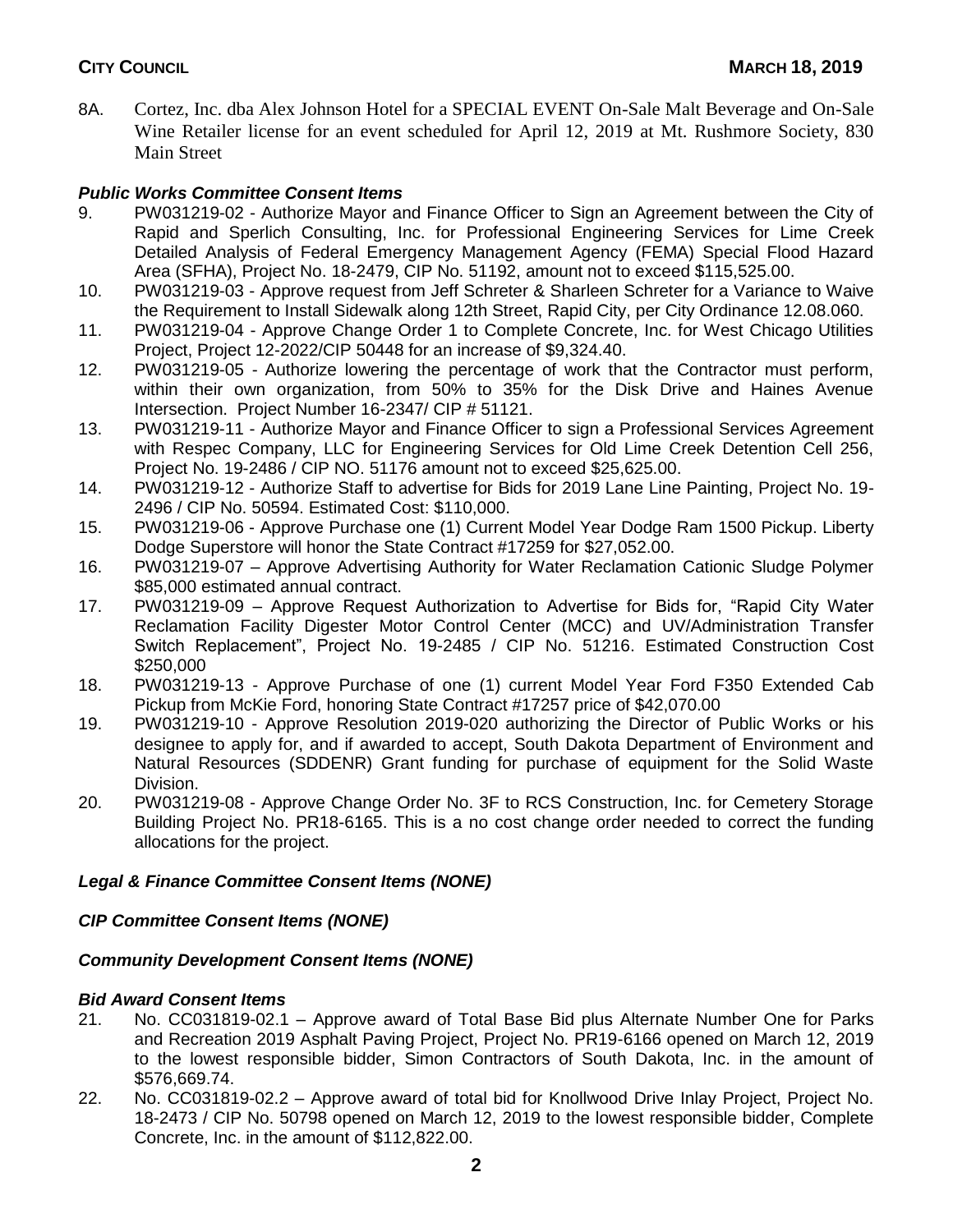8A. Cortez, Inc. dba Alex Johnson Hotel for a SPECIAL EVENT On-Sale Malt Beverage and On-Sale Wine Retailer license for an event scheduled for April 12, 2019 at Mt. Rushmore Society, 830 Main Street

## *Public Works Committee Consent Items*

- 9. PW031219-02 Authorize Mayor and Finance Officer to Sign an Agreement between the City of Rapid and Sperlich Consulting, Inc. for Professional Engineering Services for Lime Creek Detailed Analysis of Federal Emergency Management Agency (FEMA) Special Flood Hazard Area (SFHA), Project No. 18-2479, CIP No. 51192, amount not to exceed \$115,525.00.
- 10. PW031219-03 Approve request from Jeff Schreter & Sharleen Schreter for a Variance to Waive the Requirement to Install Sidewalk along 12th Street, Rapid City, per City Ordinance 12.08.060.
- 11. PW031219-04 Approve Change Order 1 to Complete Concrete, Inc. for West Chicago Utilities Project, Project 12-2022/CIP 50448 for an increase of \$9,324.40.
- 12. PW031219-05 Authorize lowering the percentage of work that the Contractor must perform, within their own organization, from 50% to 35% for the Disk Drive and Haines Avenue Intersection. Project Number 16-2347/ CIP # 51121.
- 13. PW031219-11 Authorize Mayor and Finance Officer to sign a Professional Services Agreement with Respec Company, LLC for Engineering Services for Old Lime Creek Detention Cell 256, Project No. 19-2486 / CIP NO. 51176 amount not to exceed \$25,625.00.
- 14. PW031219-12 Authorize Staff to advertise for Bids for 2019 Lane Line Painting, Project No. 19- 2496 / CIP No. 50594. Estimated Cost: \$110,000.
- 15. PW031219-06 Approve Purchase one (1) Current Model Year Dodge Ram 1500 Pickup. Liberty Dodge Superstore will honor the State Contract #17259 for \$27,052.00.
- 16. PW031219-07 Approve Advertising Authority for Water Reclamation Cationic Sludge Polymer \$85,000 estimated annual contract.
- 17. PW031219-09 Approve Request Authorization to Advertise for Bids for, "Rapid City Water Reclamation Facility Digester Motor Control Center (MCC) and UV/Administration Transfer Switch Replacement", Project No. 19-2485 / CIP No. 51216. Estimated Construction Cost \$250,000
- 18. PW031219-13 Approve Purchase of one (1) current Model Year Ford F350 Extended Cab Pickup from McKie Ford, honoring State Contract #17257 price of \$42,070.00
- 19. PW031219-10 Approve Resolution 2019-020 authorizing the Director of Public Works or his designee to apply for, and if awarded to accept, South Dakota Department of Environment and Natural Resources (SDDENR) Grant funding for purchase of equipment for the Solid Waste Division.
- 20. PW031219-08 Approve Change Order No. 3F to RCS Construction, Inc. for Cemetery Storage Building Project No. PR18-6165. This is a no cost change order needed to correct the funding allocations for the project.

## *Legal & Finance Committee Consent Items (NONE)*

## *CIP Committee Consent Items (NONE)*

## *Community Development Consent Items (NONE)*

## *Bid Award Consent Items*

- 21. No. CC031819-02.1 Approve award of Total Base Bid plus Alternate Number One for Parks and Recreation 2019 Asphalt Paving Project, Project No. PR19-6166 opened on March 12, 2019 to the lowest responsible bidder, Simon Contractors of South Dakota, Inc. in the amount of \$576,669.74.
- 22. No. CC031819-02.2 Approve award of total bid for Knollwood Drive Inlay Project, Project No. 18-2473 / CIP No. 50798 opened on March 12, 2019 to the lowest responsible bidder, Complete Concrete, Inc. in the amount of \$112,822.00.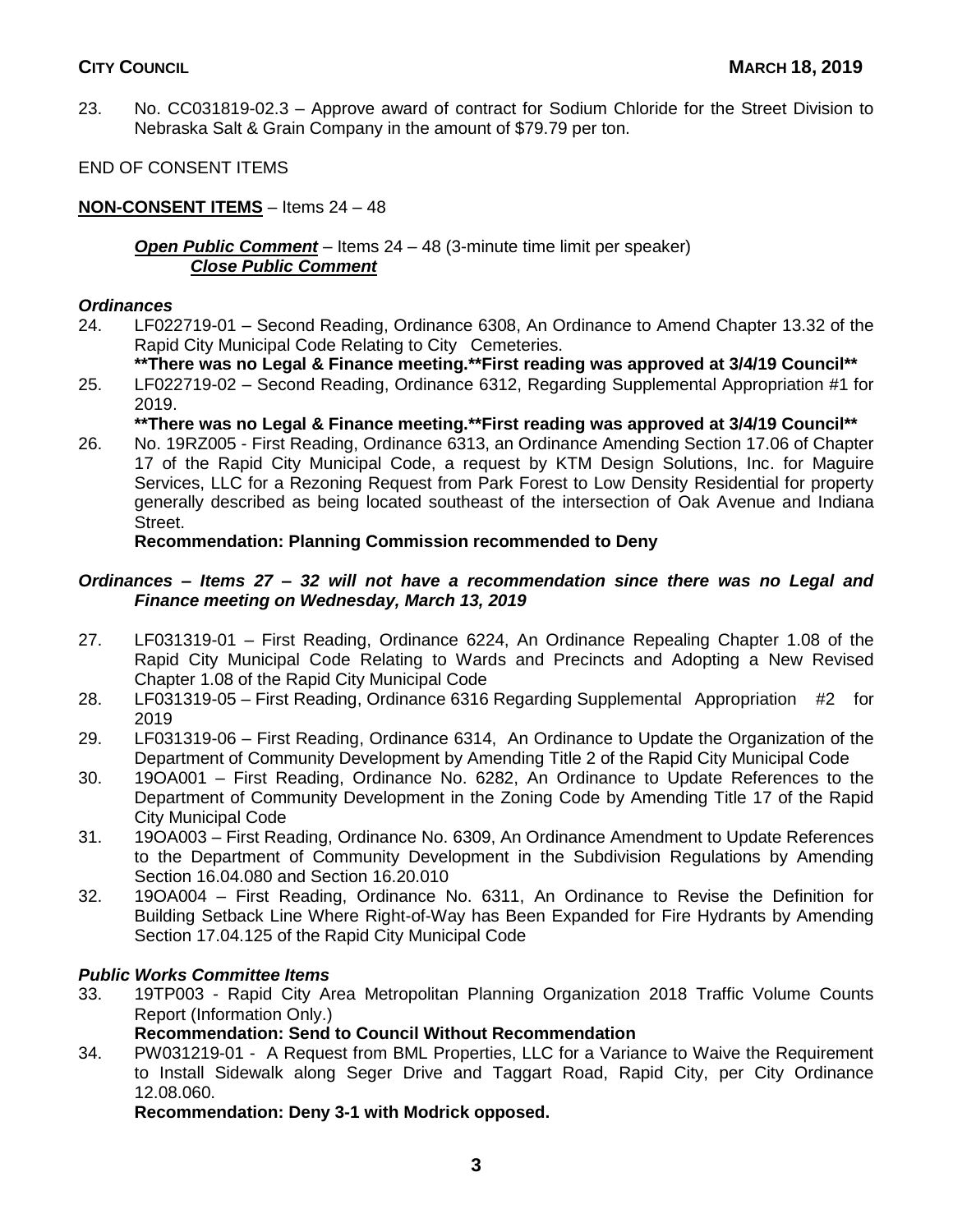- 23. No. CC031819-02.3 Approve award of contract for Sodium Chloride for the Street Division to Nebraska Salt & Grain Company in the amount of \$79.79 per ton.
- END OF CONSENT ITEMS

## **NON-CONSENT ITEMS** – Items 24 – 48

#### *Open Public Comment* – Items 24 – 48 (3-minute time limit per speaker) *Close Public Comment*

## *Ordinances*

- 24. LF022719-01 Second Reading, Ordinance 6308, An Ordinance to Amend Chapter 13.32 of the Rapid City Municipal Code Relating to City Cemeteries.
	- **\*\*There was no Legal & Finance meeting.\*\*First reading was approved at 3/4/19 Council\*\***
- 25. LF022719-02 Second Reading, Ordinance 6312, Regarding Supplemental Appropriation #1 for 2019.

## **\*\*There was no Legal & Finance meeting.\*\*First reading was approved at 3/4/19 Council\*\***

26. No. 19RZ005 - First Reading, Ordinance 6313, an Ordinance Amending Section 17.06 of Chapter 17 of the Rapid City Municipal Code, a request by KTM Design Solutions, Inc. for Maguire Services, LLC for a Rezoning Request from Park Forest to Low Density Residential for property generally described as being located southeast of the intersection of Oak Avenue and Indiana Street.

## **Recommendation: Planning Commission recommended to Deny**

## *Ordinances – Items 27 – 32 will not have a recommendation since there was no Legal and Finance meeting on Wednesday, March 13, 2019*

- 27. LF031319-01 First Reading, Ordinance 6224, An Ordinance Repealing Chapter 1.08 of the Rapid City Municipal Code Relating to Wards and Precincts and Adopting a New Revised Chapter 1.08 of the Rapid City Municipal Code
- 28. LF031319-05 First Reading, Ordinance 6316 Regarding Supplemental Appropriation #2 for 2019
- 29. LF031319-06 First Reading, Ordinance 6314, An Ordinance to Update the Organization of the Department of Community Development by Amending Title 2 of the Rapid City Municipal Code
- 30. 19OA001 First Reading, Ordinance No. 6282, An Ordinance to Update References to the Department of Community Development in the Zoning Code by Amending Title 17 of the Rapid City Municipal Code
- 31. 19OA003 First Reading, Ordinance No. 6309, An Ordinance Amendment to Update References to the Department of Community Development in the Subdivision Regulations by Amending Section 16.04.080 and Section 16.20.010
- 32. 19OA004 First Reading, Ordinance No. 6311, An Ordinance to Revise the Definition for Building Setback Line Where Right-of-Way has Been Expanded for Fire Hydrants by Amending Section 17.04.125 of the Rapid City Municipal Code

## *Public Works Committee Items*

33. 19TP003 - Rapid City Area Metropolitan Planning Organization 2018 Traffic Volume Counts Report (Information Only.)

## **Recommendation: Send to Council Without Recommendation**

34. PW031219-01 - A Request from BML Properties, LLC for a Variance to Waive the Requirement to Install Sidewalk along Seger Drive and Taggart Road, Rapid City, per City Ordinance 12.08.060.

**Recommendation: Deny 3-1 with Modrick opposed.**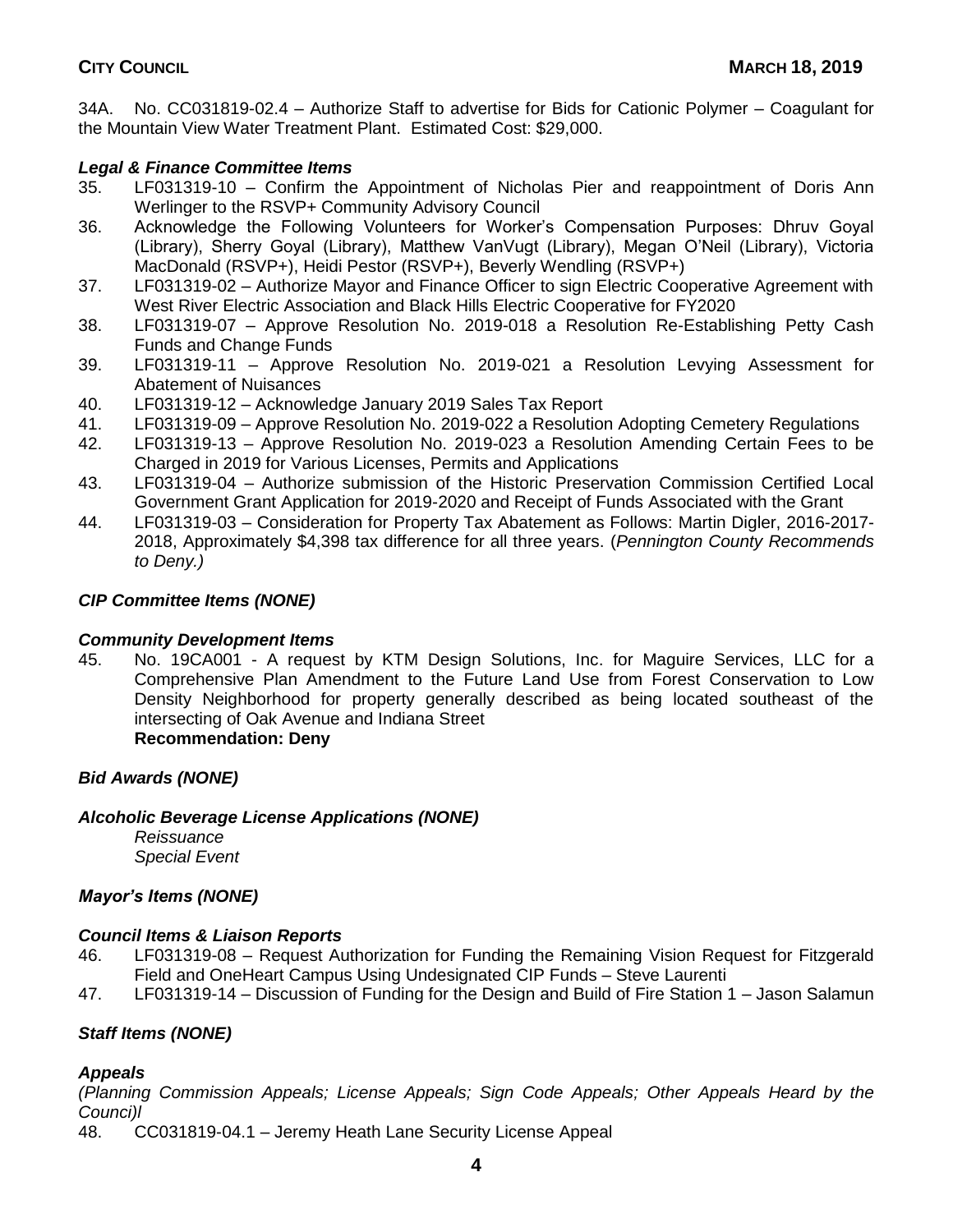34A. No. CC031819-02.4 – Authorize Staff to advertise for Bids for Cationic Polymer – Coagulant for the Mountain View Water Treatment Plant. Estimated Cost: \$29,000.

## *Legal & Finance Committee Items*

- 35. LF031319-10 Confirm the Appointment of Nicholas Pier and reappointment of Doris Ann Werlinger to the RSVP+ Community Advisory Council
- 36. Acknowledge the Following Volunteers for Worker's Compensation Purposes: Dhruv Goyal (Library), Sherry Goyal (Library), Matthew VanVugt (Library), Megan O'Neil (Library), Victoria MacDonald (RSVP+), Heidi Pestor (RSVP+), Beverly Wendling (RSVP+)
- 37. LF031319-02 Authorize Mayor and Finance Officer to sign Electric Cooperative Agreement with West River Electric Association and Black Hills Electric Cooperative for FY2020
- 38. LF031319-07 Approve Resolution No. 2019-018 a Resolution Re-Establishing Petty Cash Funds and Change Funds
- 39. LF031319-11 Approve Resolution No. 2019-021 a Resolution Levying Assessment for Abatement of Nuisances
- 40. LF031319-12 Acknowledge January 2019 Sales Tax Report
- 41. LF031319-09 Approve Resolution No. 2019-022 a Resolution Adopting Cemetery Regulations
- 42. LF031319-13 Approve Resolution No. 2019-023 a Resolution Amending Certain Fees to be Charged in 2019 for Various Licenses, Permits and Applications
- 43. LF031319-04 Authorize submission of the Historic Preservation Commission Certified Local Government Grant Application for 2019-2020 and Receipt of Funds Associated with the Grant
- 44. LF031319-03 Consideration for Property Tax Abatement as Follows: Martin Digler, 2016-2017- 2018, Approximately \$4,398 tax difference for all three years. (*Pennington County Recommends to Deny.)*

## *CIP Committee Items (NONE)*

#### *Community Development Items*

45. No. 19CA001 - A request by KTM Design Solutions, Inc. for Maguire Services, LLC for a Comprehensive Plan Amendment to the Future Land Use from Forest Conservation to Low Density Neighborhood for property generally described as being located southeast of the intersecting of Oak Avenue and Indiana Street

# **Recommendation: Deny**

## *Bid Awards (NONE)*

## *Alcoholic Beverage License Applications (NONE)*

*Reissuance Special Event*

## *Mayor's Items (NONE)*

#### *Council Items & Liaison Reports*

- 46. LF031319-08 Request Authorization for Funding the Remaining Vision Request for Fitzgerald Field and OneHeart Campus Using Undesignated CIP Funds – Steve Laurenti
- 47. LF031319-14 Discussion of Funding for the Design and Build of Fire Station 1 Jason Salamun

## *Staff Items (NONE)*

## *Appeals*

*(Planning Commission Appeals; License Appeals; Sign Code Appeals; Other Appeals Heard by the Counci)l*

48. CC031819-04.1 – Jeremy Heath Lane Security License Appeal